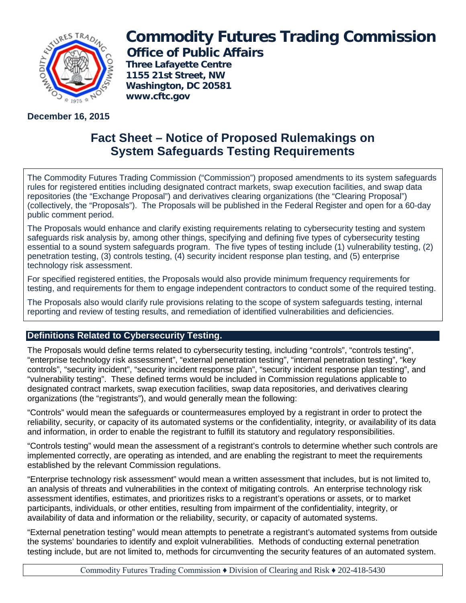

**December 16, 2015**

# **Commodity Futures Trading Commission Office of Public Affairs**

**Three Lafayette Centre 1155 21st Street, NW Washington, DC 20581 www.cftc.gov**

# **Fact Sheet – Notice of Proposed Rulemakings on System Safeguards Testing Requirements**

The Commodity Futures Trading Commission ("Commission") proposed amendments to its system safeguards rules for registered entities including designated contract markets, swap execution facilities, and swap data repositories (the "Exchange Proposal") and derivatives clearing organizations (the "Clearing Proposal") (collectively, the "Proposals"). The Proposals will be published in the Federal Register and open for a 60-day public comment period.

The Proposals would enhance and clarify existing requirements relating to cybersecurity testing and system safeguards risk analysis by, among other things, specifying and defining five types of cybersecurity testing essential to a sound system safeguards program. The five types of testing include (1) vulnerability testing, (2) penetration testing, (3) controls testing, (4) security incident response plan testing, and (5) enterprise technology risk assessment.

For specified registered entities, the Proposals would also provide minimum frequency requirements for testing, and requirements for them to engage independent contractors to conduct some of the required testing.

The Proposals also would clarify rule provisions relating to the scope of system safeguards testing, internal reporting and review of testing results, and remediation of identified vulnerabilities and deficiencies.

## **Definitions Related to Cybersecurity Testing.**

The Proposals would define terms related to cybersecurity testing, including "controls", "controls testing", "enterprise technology risk assessment", "external penetration testing", "internal penetration testing", "key controls", "security incident", "security incident response plan", "security incident response plan testing", and "vulnerability testing". These defined terms would be included in Commission regulations applicable to designated contract markets, swap execution facilities, swap data repositories, and derivatives clearing organizations (the "registrants"), and would generally mean the following:

"Controls" would mean the safeguards or countermeasures employed by a registrant in order to protect the reliability, security, or capacity of its automated systems or the confidentiality, integrity, or availability of its data and information, in order to enable the registrant to fulfill its statutory and regulatory responsibilities.

"Controls testing" would mean the assessment of a registrant's controls to determine whether such controls are implemented correctly, are operating as intended, and are enabling the registrant to meet the requirements established by the relevant Commission regulations.

"Enterprise technology risk assessment" would mean a written assessment that includes, but is not limited to, an analysis of threats and vulnerabilities in the context of mitigating controls. An enterprise technology risk assessment identifies, estimates, and prioritizes risks to a registrant's operations or assets, or to market participants, individuals, or other entities, resulting from impairment of the confidentiality, integrity, or availability of data and information or the reliability, security, or capacity of automated systems.

"External penetration testing" would mean attempts to penetrate a registrant's automated systems from outside the systems' boundaries to identify and exploit vulnerabilities. Methods of conducting external penetration testing include, but are not limited to, methods for circumventing the security features of an automated system.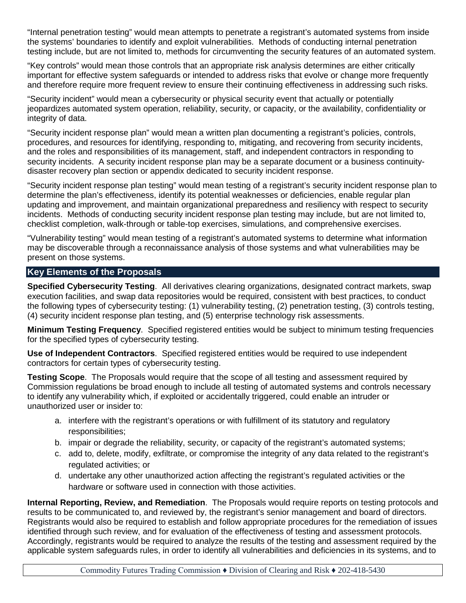"Internal penetration testing" would mean attempts to penetrate a registrant's automated systems from inside the systems' boundaries to identify and exploit vulnerabilities. Methods of conducting internal penetration testing include, but are not limited to, methods for circumventing the security features of an automated system.

"Key controls" would mean those controls that an appropriate risk analysis determines are either critically important for effective system safeguards or intended to address risks that evolve or change more frequently and therefore require more frequent review to ensure their continuing effectiveness in addressing such risks.

"Security incident" would mean a cybersecurity or physical security event that actually or potentially jeopardizes automated system operation, reliability, security, or capacity, or the availability, confidentiality or integrity of data.

"Security incident response plan" would mean a written plan documenting a registrant's policies, controls, procedures, and resources for identifying, responding to, mitigating, and recovering from security incidents, and the roles and responsibilities of its management, staff, and independent contractors in responding to security incidents. A security incident response plan may be a separate document or a business continuitydisaster recovery plan section or appendix dedicated to security incident response.

"Security incident response plan testing" would mean testing of a registrant's security incident response plan to determine the plan's effectiveness, identify its potential weaknesses or deficiencies, enable regular plan updating and improvement, and maintain organizational preparedness and resiliency with respect to security incidents. Methods of conducting security incident response plan testing may include, but are not limited to, checklist completion, walk-through or table-top exercises, simulations, and comprehensive exercises.

"Vulnerability testing" would mean testing of a registrant's automated systems to determine what information may be discoverable through a reconnaissance analysis of those systems and what vulnerabilities may be present on those systems.

### **Key Elements of the Proposals**

**Specified Cybersecurity Testing**. All derivatives clearing organizations, designated contract markets, swap execution facilities, and swap data repositories would be required, consistent with best practices, to conduct the following types of cybersecurity testing: (1) vulnerability testing, (2) penetration testing, (3) controls testing, (4) security incident response plan testing, and (5) enterprise technology risk assessments.

**Minimum Testing Frequency**. Specified registered entities would be subject to minimum testing frequencies for the specified types of cybersecurity testing.

**Use of Independent Contractors**. Specified registered entities would be required to use independent contractors for certain types of cybersecurity testing.

**Testing Scope**. The Proposals would require that the scope of all testing and assessment required by Commission regulations be broad enough to include all testing of automated systems and controls necessary to identify any vulnerability which, if exploited or accidentally triggered, could enable an intruder or unauthorized user or insider to:

- a. interfere with the registrant's operations or with fulfillment of its statutory and regulatory responsibilities;
- b. impair or degrade the reliability, security, or capacity of the registrant's automated systems;
- c. add to, delete, modify, exfiltrate, or compromise the integrity of any data related to the registrant's regulated activities; or
- d. undertake any other unauthorized action affecting the registrant's regulated activities or the hardware or software used in connection with those activities.

**Internal Reporting, Review, and Remediation**. The Proposals would require reports on testing protocols and results to be communicated to, and reviewed by, the registrant's senior management and board of directors. Registrants would also be required to establish and follow appropriate procedures for the remediation of issues identified through such review, and for evaluation of the effectiveness of testing and assessment protocols. Accordingly, registrants would be required to analyze the results of the testing and assessment required by the applicable system safeguards rules, in order to identify all vulnerabilities and deficiencies in its systems, and to